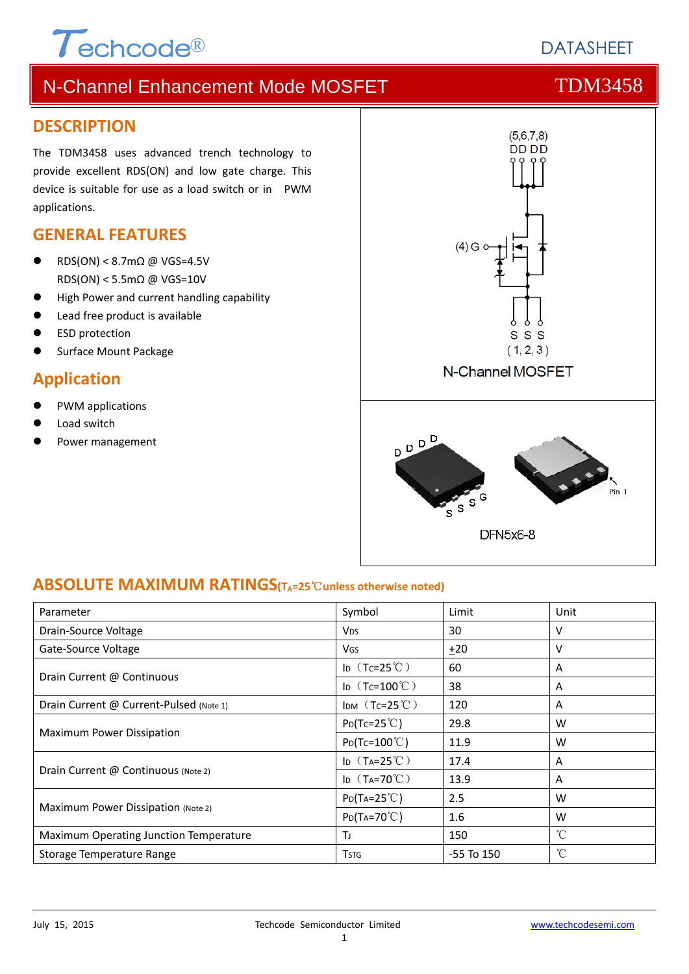# $T$ echcode®

# **DATASHEET**

# N-Channel Enhancement Mode MOSFET THE TDM3458

### **DESCRIPTION**

The TDM3458 uses advanced trench technology to provide excellent RDS(ON) and low gate charge. This device is suitable for use as a load switch or in PWM applications.

### **GENERAL FEATURES**

- RDS(ON) < 8.7mΩ @ VGS=4.5V RDS(ON) < 5.5mΩ @ VGS=10V
- High Power and current handling capability
- Lead free product is available
- ESD protection
- Surface Mount Package

### **Application**

- PWM applications
- Load switch
- Power management



### **ABSOLUTE MAXIMUM RATINGS(TA=25**℃**unless otherwise noted)**

| Parameter                               | Symbol                   | Limit          | Unit         |
|-----------------------------------------|--------------------------|----------------|--------------|
| Drain-Source Voltage                    | <b>V<sub>DS</sub></b>    | 30             | v            |
| Gate-Source Voltage                     | <b>V<sub>GS</sub></b>    | ±20            | v            |
| Drain Current @ Continuous              | ID $(Tc=25^{\circ}C)$    | 60             | A            |
|                                         | ID $(Tc=100^{\circ}C)$   | 38             | A            |
| Drain Current @ Current-Pulsed (Note 1) | IDM $(Tc=25^{\circ}C)$   | 120            | A            |
| Maximum Power Dissipation               | $P_{D}(Tc=25^{\circ}C)$  | 29.8           | W            |
|                                         | $P_{D}(Tc=100^{\circ}C)$ | 11.9           | W            |
|                                         | ID $(T_A=25^{\circ}C)$   | 17.4           | A            |
| Drain Current @ Continuous (Note 2)     | ID $(T_A=70^{\circ}C)$   | 13.9           | A            |
| Maximum Power Dissipation (Note 2)      | $P_{D}(Ta=25^{\circ}C)$  | 2.5            | W            |
|                                         | $P_{D}(Ta=70^{\circ}C)$  | 1.6            | W            |
| Maximum Operating Junction Temperature  | ТJ                       | 150            | °C           |
| Storage Temperature Range               | <b>T</b> <sub>STG</sub>  | $-55$ To $150$ | $^{\circ}$ C |

### 1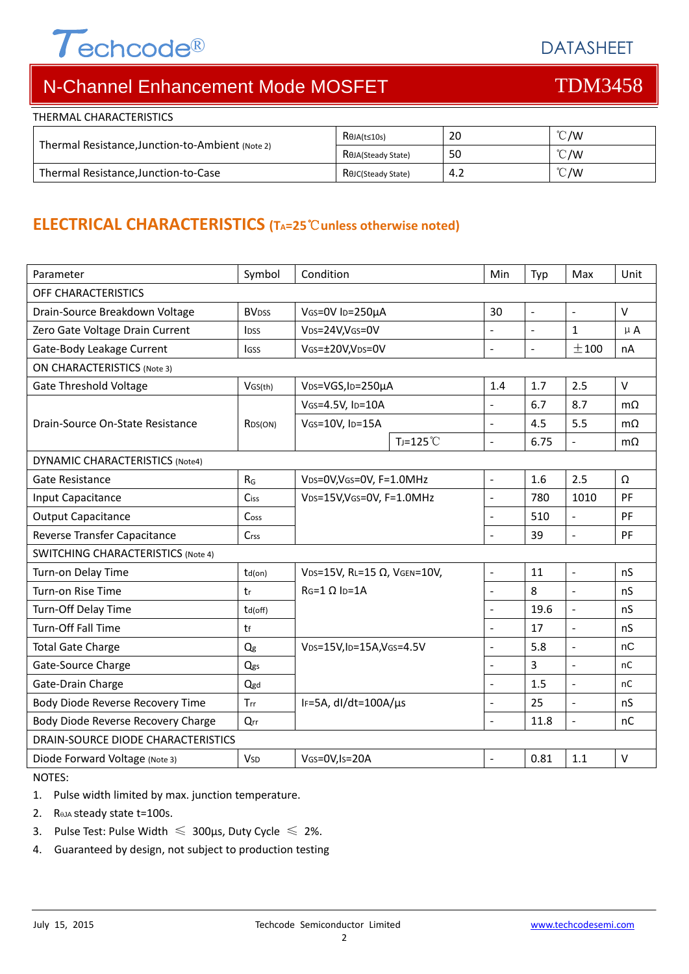# $\tau$ echcode®

DATASHEET

# N-Channel Enhancement Mode MOSFET THE TDM3458

| THERMAL CHARACTERISTICS                          |                                 |     |               |  |
|--------------------------------------------------|---------------------------------|-----|---------------|--|
| Thermal Resistance, Junction-to-Ambient (Note 2) | $R\theta$ JA(t≤10s)             | 20  | $\degree$ C/W |  |
|                                                  | R <sub>OJA</sub> (Steady State) | 50  | $\degree$ C/W |  |
| Thermal Resistance, Junction-to-Case             | R <sub>e</sub> JC(Steady State) | 4.2 | $\degree$ C/W |  |

# **ELECTRICAL CHARACTERISTICS (TA=25**℃**unless otherwise noted)**

| Parameter                                 | Symbol                   | Condition                                          |                     | Min                      | Typ            | Max                      | Unit      |
|-------------------------------------------|--------------------------|----------------------------------------------------|---------------------|--------------------------|----------------|--------------------------|-----------|
| OFF CHARACTERISTICS                       |                          |                                                    |                     |                          |                |                          |           |
| Drain-Source Breakdown Voltage            | <b>BV</b> <sub>DSS</sub> | VGS=0V ID=250µA                                    |                     | 30                       | $\overline{a}$ | $\sim$                   | $\vee$    |
| Zero Gate Voltage Drain Current           | <b>IDSS</b>              | VDS=24V, VGS=0V                                    |                     |                          | $\overline{a}$ | $\mathbf{1}$             | $\mu$ A   |
| Gate-Body Leakage Current                 | <b>IGSS</b>              | VGS=±20V,VDS=0V                                    |                     | $\overline{a}$           | $\blacksquare$ | ±100                     | nA        |
| <b>ON CHARACTERISTICS (Note 3)</b>        |                          |                                                    |                     |                          |                |                          |           |
| Gate Threshold Voltage                    | VGS(th)                  | V <sub>DS</sub> =VGS, I <sub>D</sub> =250µA        |                     | 1.4                      | 1.7            | 2.5                      | $\vee$    |
|                                           |                          | VGS=4.5V, ID=10A                                   |                     | ÷,                       | 6.7            | 8.7                      | $m\Omega$ |
| Drain-Source On-State Resistance          | RDS(ON)                  | VGS=10V, ID=15A                                    |                     | $\blacksquare$           | 4.5            | 5.5                      | $m\Omega$ |
|                                           |                          |                                                    | $T_J = 125^{\circ}$ | $\overline{\phantom{0}}$ | 6.75           | $\blacksquare$           | $m\Omega$ |
| <b>DYNAMIC CHARACTERISTICS (Note4)</b>    |                          |                                                    |                     |                          |                |                          |           |
| <b>Gate Resistance</b>                    | $R_G$                    | VDS=0V, VGS=0V, F=1.0MHz                           |                     | $\frac{1}{2}$            | 1.6            | 2.5                      | Ω         |
| Input Capacitance                         | Ciss                     | VDS=15V, VGS=0V, F=1.0MHz                          |                     | $\overline{\phantom{a}}$ | 780            | 1010                     | PF        |
| <b>Output Capacitance</b>                 | Coss                     |                                                    |                     | $\overline{\phantom{0}}$ | 510            | $\overline{\phantom{a}}$ | <b>PF</b> |
| Reverse Transfer Capacitance              | Crss                     |                                                    |                     | ÷,                       | 39             | $\blacksquare$           | PF        |
| <b>SWITCHING CHARACTERISTICS (Note 4)</b> |                          |                                                    |                     |                          |                |                          |           |
| Turn-on Delay Time                        | $td($ on $)$             | VDS=15V, RL=15 Ω, VGEN=10V,<br>$RG=1 \Omega$ Ip=1A |                     | $\overline{\phantom{a}}$ | 11             | $\omega$                 | nS        |
| Turn-on Rise Time                         | tr                       |                                                    |                     | ÷,                       | 8              | $\mathbb{Z}$             | nS        |
| Turn-Off Delay Time                       | td(off)                  |                                                    |                     |                          | 19.6           | $\overline{a}$           | nS        |
| <b>Turn-Off Fall Time</b>                 | tf                       |                                                    |                     | $\overline{a}$           | 17             | $\overline{a}$           | nS        |
| <b>Total Gate Charge</b>                  | Q <sub>g</sub>           | VDS=15V, ID=15A, VGS=4.5V                          |                     | $\blacksquare$           | 5.8            | $\mathbb{Z}$             | nC        |
| Gate-Source Charge                        | Qgs                      |                                                    |                     |                          | 3              | $\overline{a}$           | nC        |
| Gate-Drain Charge                         | Qgd                      |                                                    |                     | ä,                       | 1.5            | $\overline{a}$           | nC        |
| Body Diode Reverse Recovery Time          | Trr                      | IF=5A, dl/dt=100A/µs                               |                     | $\overline{a}$           | 25             | $\overline{a}$           | nS        |
| Body Diode Reverse Recovery Charge        | Qrr                      |                                                    |                     | $\overline{\phantom{0}}$ | 11.8           | $\blacksquare$           | nC        |
| DRAIN-SOURCE DIODE CHARACTERISTICS        |                          |                                                    |                     |                          |                |                          |           |
| Diode Forward Voltage (Note 3)            | <b>V</b> sp              | VGS=0V, Is=20A                                     |                     |                          | 0.81           | 1.1                      | $\vee$    |

NOTES:

1. Pulse width limited by max. junction temperature.

- 2.  $R_{\theta}$ JA steady state t=100s.
- 3. Pulse Test: Pulse Width  $\leq 300$ μs, Duty Cycle  $\leq 2\%$ .
- 4. Guaranteed by design, not subject to production testing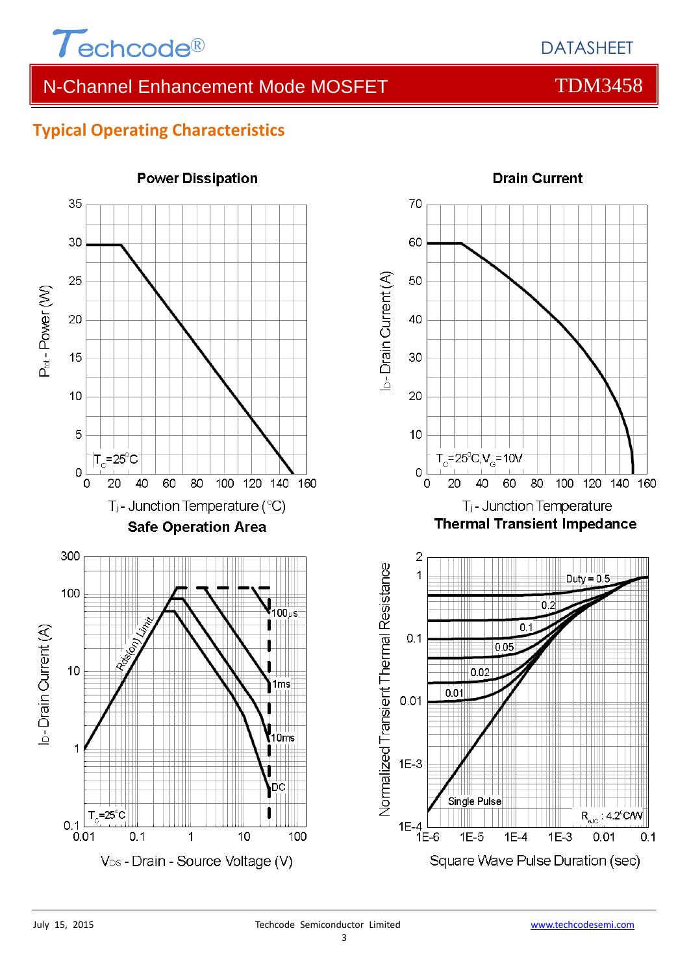

# N-Channel Enhancement Mode MOSFET THE TDM3458

## **Typical Operating Characteristics**



**Power Dissipation** 

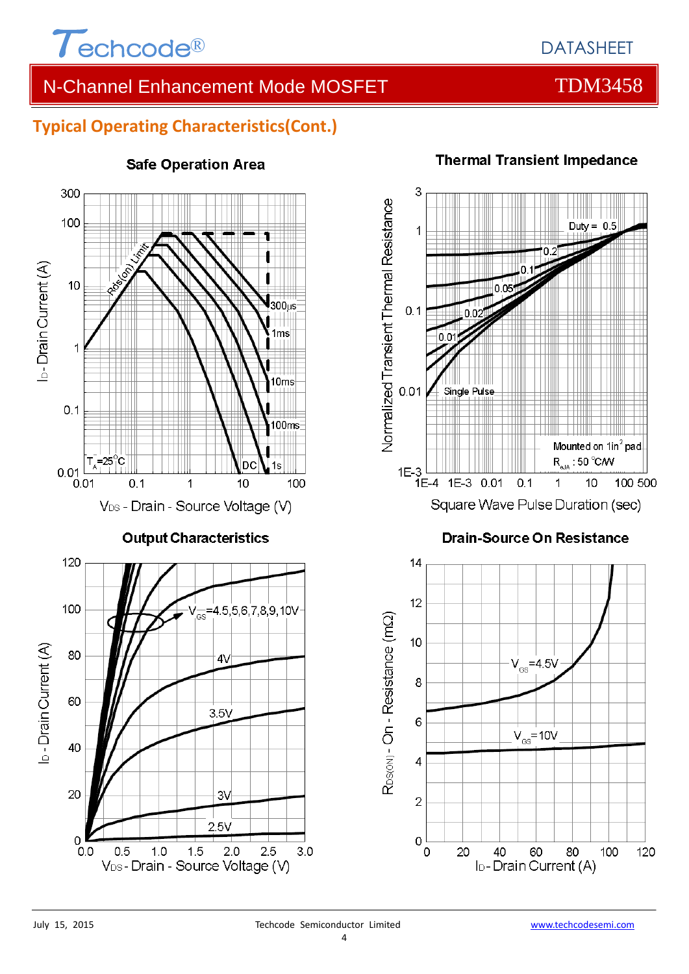

# N-Channel Enhancement Mode MOSFET THE TDM3458

## **Typical Operating Characteristics(Cont.)**



### **Safe Operation Area**



### **Thermal Transient Impedance**

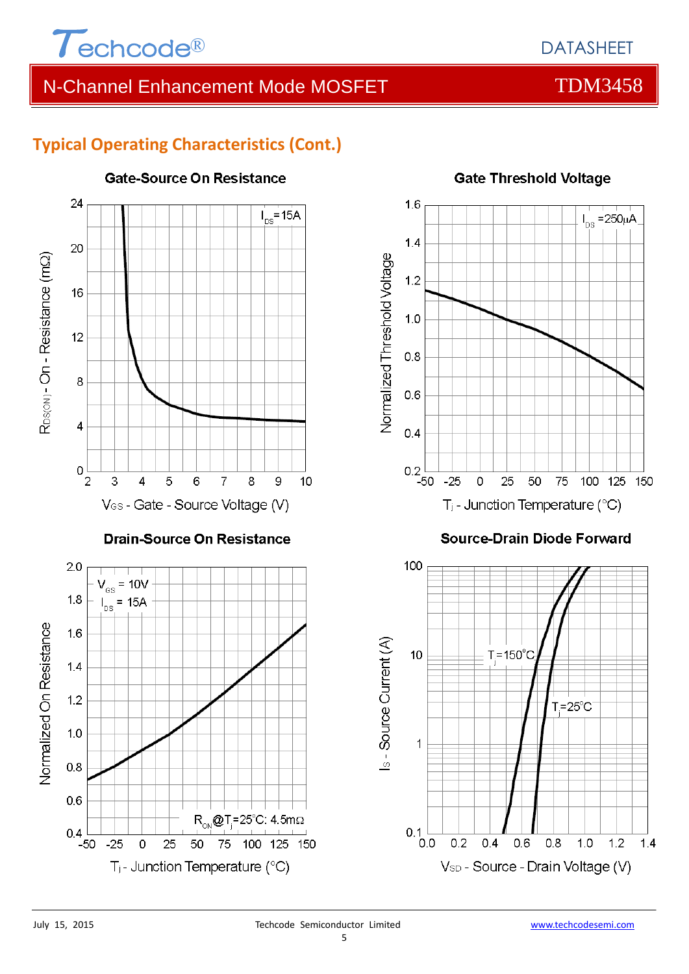

# N-Channel Enhancement Mode MOSFET THE TDM3458

# **Typical Operating Characteristics (Cont.)**



# **Gate-Source On Resistance**



### **Source-Drain Diode Forward**





 $0.8$ 

 $0.6$ 

 $0.4$ 

 $-50$ 

 $-25$ 

 $\Omega$ 

25

50

 $T_i$ - Junction Temperature (°C)

 $R_{on}$ @T<sub>,</sub>=25°C: 4.5m $\Omega$ 

75 100 125 150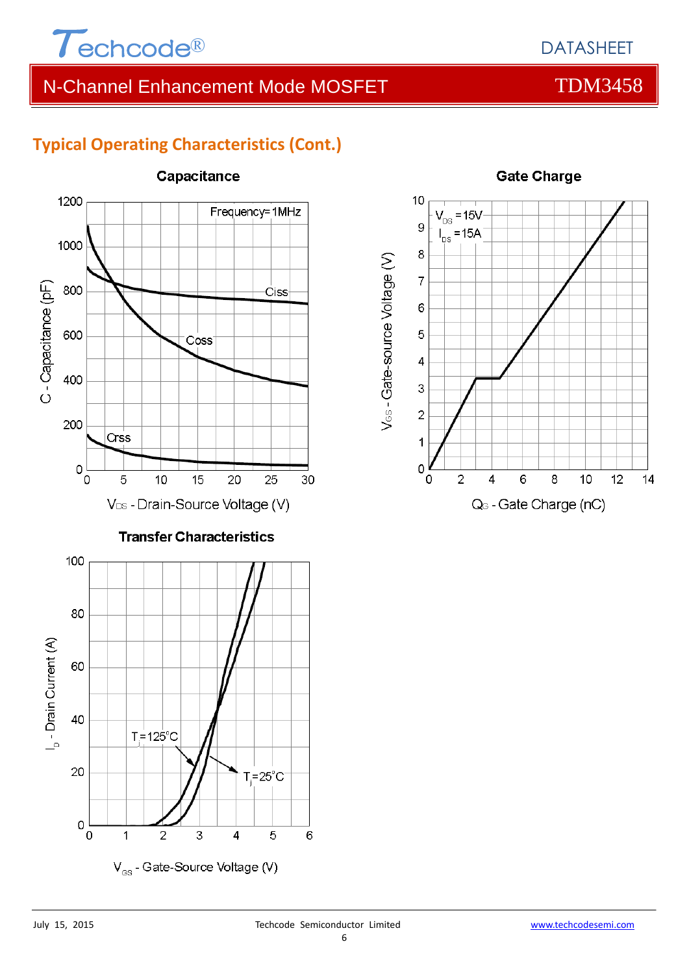

DATASHEET

# **Typical Operating Characteristics (Cont.)**



### Capacitance

V<sub>os</sub> - Gate-Source Voltage (V)



### **Gate Charge**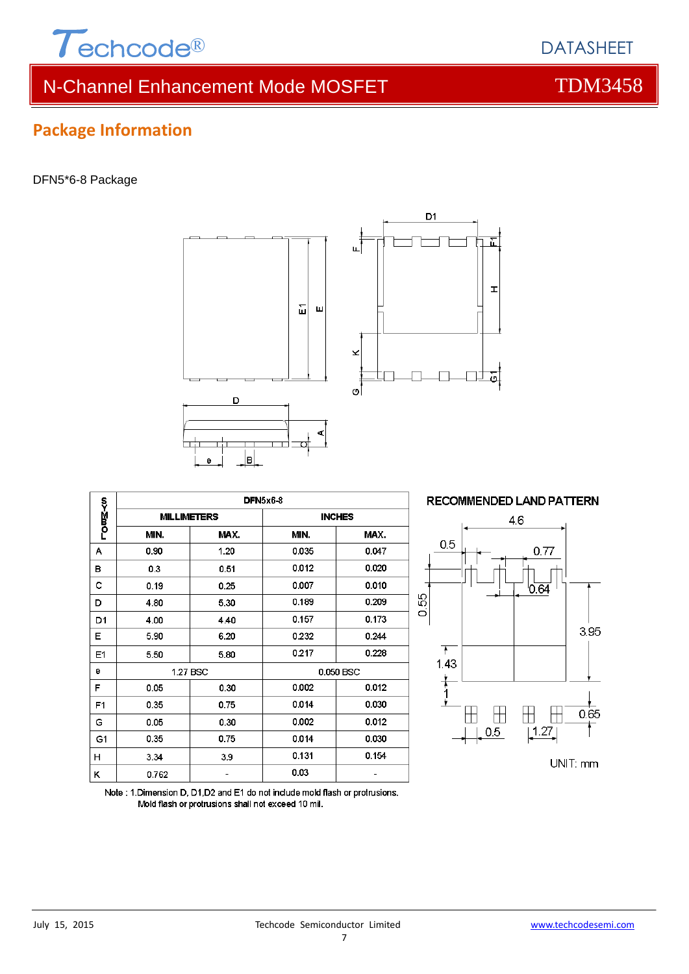

# N-Channel Enhancement Mode MOSFET TOM3458

# DFN5\*6-8 Package

**Package Information**





|        | <b>DFN5x6-8</b>    |      |               |       |  |
|--------|--------------------|------|---------------|-------|--|
| ს>∑ონ- | <b>MILLIMETERS</b> |      | <b>INCHES</b> |       |  |
|        | MIN.               | MAX. | MIN.          | MAX.  |  |
| А      | 0.90               | 1.20 | 0.035         | 0.047 |  |
| в      | 0.3                | 0.51 | 0.012         | 0.020 |  |
| с      | 0.19               | 0.25 | 0.007         | 0.010 |  |
| D      | 4.80               | 5.30 | 0.189         | 0.209 |  |
| D1     | 4.00               | 4.40 | 0.157         | 0.173 |  |
| Е      | 5.90               | 6.20 | 0.232         | 0.244 |  |
| E1     | 5.50               | 5.80 | 0.217         | 0.228 |  |
| е      | 1.27 BSC           |      | 0.050 BSC     |       |  |
| F      | 0.05               | 0.30 | 0.002         | 0.012 |  |
| F1     | 0.35               | 0.75 | 0.014         | 0.030 |  |
| G      | 0.05               | 0.30 | 0.002         | 0.012 |  |
| G1     | 0.35               | 0.75 | 0.014         | 0.030 |  |
| н      | 3.34               | 3.9  | 0.131         | 0.154 |  |
| κ      | 0.762              |      | 0.03          |       |  |



Note: 1. Dimension D, D1, D2 and E1 do not include mold flash or protrusions. Mold flash or protrusions shall not exceed 10 mil.

# DATASHEET